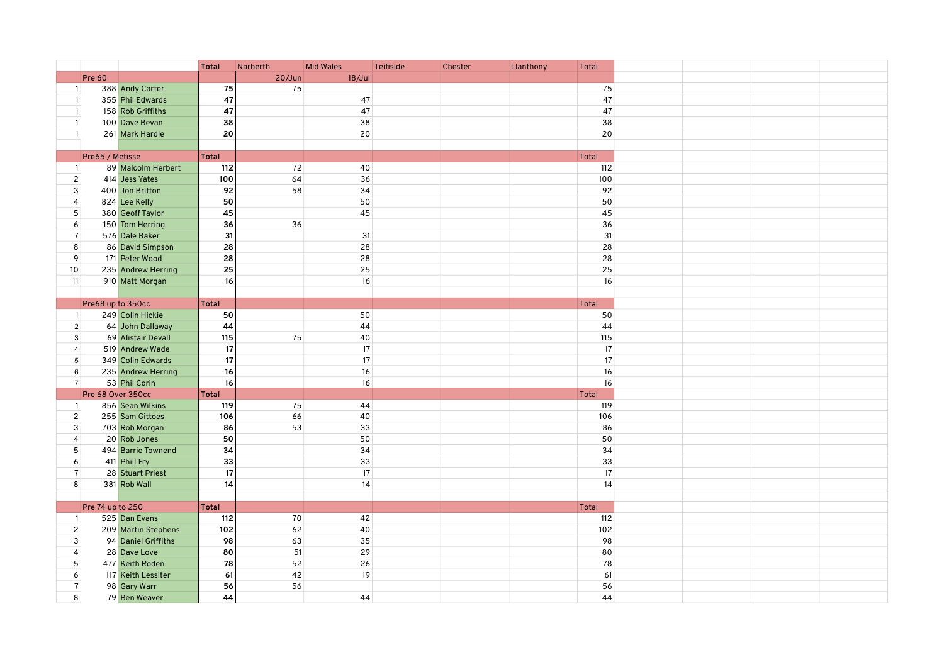|                     |                   |                     | <b>Total</b> | Narberth  | <b>Mid Wales</b> | Teifiside | Chester | Llanthony | <b>Total</b> |  |  |
|---------------------|-------------------|---------------------|--------------|-----------|------------------|-----------|---------|-----------|--------------|--|--|
|                     | Pre 60            |                     |              | $20/J$ un | 18/Jul           |           |         |           |              |  |  |
| $\mathbf{1}$        |                   | 388 Andy Carter     | 75           | 75        |                  |           |         |           | 75           |  |  |
| $\mathbf{1}$        |                   | 355 Phil Edwards    | 47           |           | 47               |           |         |           | 47           |  |  |
| -1                  |                   | 158 Rob Griffiths   | 47           |           | 47               |           |         |           | 47           |  |  |
| $\mathbf{1}$        |                   | 100 Dave Bevan      | 38           |           | 38               |           |         |           | 38           |  |  |
| $\mathbf{1}$        |                   | 261 Mark Hardie     | 20           |           | 20               |           |         |           | 20           |  |  |
|                     |                   |                     |              |           |                  |           |         |           |              |  |  |
|                     | Pre65 / Metisse   |                     | Total        |           |                  |           |         |           | Total        |  |  |
| $\mathbf{1}$        |                   | 89 Malcolm Herbert  | 112          | 72        | 40               |           |         |           | 112          |  |  |
| $\overline{c}$      |                   | 414 Jess Yates      | 100          | 64        | 36               |           |         |           | 100          |  |  |
| 3                   |                   | 400 Jon Britton     | 92           | 58        | 34               |           |         |           | 92           |  |  |
| $\overline{4}$      |                   | 824 Lee Kelly       | 50           |           | 50               |           |         |           | 50           |  |  |
| 5                   |                   | 380 Geoff Taylor    | 45           |           | 45               |           |         |           | 45           |  |  |
| 6                   |                   | 150 Tom Herring     | 36           | 36        |                  |           |         |           | 36           |  |  |
| $\overline{7}$      |                   | 576 Dale Baker      | 31           |           | 31               |           |         |           | 31           |  |  |
| 8                   |                   | 86 David Simpson    | 28           |           | 28               |           |         |           | 28           |  |  |
| 9                   |                   | 171 Peter Wood      | 28           |           | 28               |           |         |           | 28           |  |  |
| 10 <sup>°</sup>     |                   | 235 Andrew Herring  | 25           |           | 25               |           |         |           | 25           |  |  |
| 11                  |                   | 910 Matt Morgan     | 16           |           | $16\,$           |           |         |           | 16           |  |  |
|                     |                   |                     |              |           |                  |           |         |           |              |  |  |
|                     | Pre68 up to 350cc |                     | Total        |           |                  |           |         |           | Total        |  |  |
| 1                   |                   | 249 Colin Hickie    | 50           |           | 50               |           |         |           | 50           |  |  |
| $\overline{2}$      |                   | 64 John Dallaway    | 44           |           | 44               |           |         |           | 44           |  |  |
| 3                   |                   | 69 Alistair Devall  | 115          | 75        | 40               |           |         |           | 115          |  |  |
| $\overline{4}$      |                   | 519 Andrew Wade     | 17           |           | 17               |           |         |           | 17           |  |  |
| $\sqrt{5}$          |                   | 349 Colin Edwards   | 17           |           | 17               |           |         |           | 17           |  |  |
| $\,6\,$             |                   | 235 Andrew Herring  | 16           |           | 16               |           |         |           | 16           |  |  |
| $\overline{7}$      |                   | 53 Phil Corin       | 16           |           | 16               |           |         |           | 16           |  |  |
|                     | Pre 68 Over 350cc |                     | <b>Total</b> |           |                  |           |         |           | Total        |  |  |
| $\mathbf{1}$        |                   | 856 Sean Wilkins    | 119          | 75        | 44               |           |         |           | 119          |  |  |
|                     |                   | 255 Sam Gittoes     | 106          | 66        | 40               |           |         |           | 106          |  |  |
| $\overline{c}$<br>3 |                   | 703 Rob Morgan      | 86           | 53        | 33               |           |         |           | 86           |  |  |
| $\overline{4}$      |                   | 20 Rob Jones        | 50           |           | 50               |           |         |           | 50           |  |  |
| 5                   |                   |                     | 34           |           | 34               |           |         |           | 34           |  |  |
|                     |                   | 494 Barrie Townend  | 33           |           | 33               |           |         |           | 33           |  |  |
| 6                   |                   | 411 Phill Fry       | 17           |           | 17               |           |         |           |              |  |  |
| $\overline{7}$      |                   | 28 Stuart Priest    |              |           |                  |           |         |           | $17\,$       |  |  |
| 8                   |                   | 381 Rob Wall        | 14           |           | 14               |           |         |           | 14           |  |  |
|                     |                   |                     |              |           |                  |           |         |           |              |  |  |
|                     | Pre 74 up to 250  |                     | Total        |           |                  |           |         |           | Total        |  |  |
| $\mathbf{1}$        |                   | 525 Dan Evans       | 112          | 70        | 42               |           |         |           | 112          |  |  |
| $\overline{c}$      |                   | 209 Martin Stephens | 102          | 62        | 40               |           |         |           | 102          |  |  |
| 3                   |                   | 94 Daniel Griffiths | 98           | 63        | 35               |           |         |           | 98           |  |  |
| $\overline{4}$      |                   | 28 Dave Love        | 80           | 51        | 29               |           |         |           | 80           |  |  |
| 5                   |                   | 477 Keith Roden     | 78           | 52        | 26               |           |         |           | 78           |  |  |
| 6                   |                   | 117 Keith Lessiter  | 61           | 42        | 19               |           |         |           | 61           |  |  |
| $\overline{7}$      |                   | 98 Gary Warr        | 56           | 56        |                  |           |         |           | 56           |  |  |
| 8                   |                   | 79 Ben Weaver       | 44           |           | 44               |           |         |           | 44           |  |  |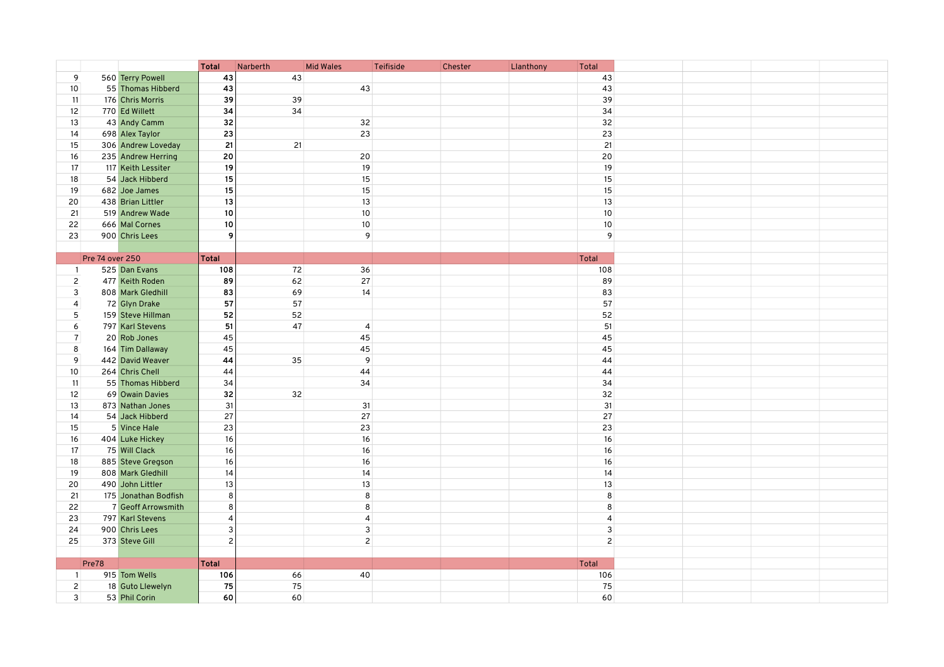|                |                 |                      | <b>Total</b>   | Narberth | <b>Mid Wales</b> | Teifiside | Chester | Llanthony | Total          |  |
|----------------|-----------------|----------------------|----------------|----------|------------------|-----------|---------|-----------|----------------|--|
| 9              |                 | 560 Terry Powell     | 43             | 43       |                  |           |         |           | 43             |  |
| 10             |                 | 55 Thomas Hibberd    | 43             |          | 43               |           |         |           | 43             |  |
| 11             |                 | 176 Chris Morris     | 39             | 39       |                  |           |         |           | 39             |  |
| 12             |                 | 770 Ed Willett       | 34             | 34       |                  |           |         |           | 34             |  |
| 13             |                 | 43 Andy Camm         | 32             |          | 32               |           |         |           | 32             |  |
| 14             |                 | 698 Alex Taylor      | 23             |          | 23               |           |         |           | 23             |  |
| 15             |                 | 306 Andrew Loveday   | 21             | 21       |                  |           |         |           | 21             |  |
| 16             |                 | 235 Andrew Herring   | 20             |          | 20               |           |         |           | 20             |  |
| 17             |                 | 117 Keith Lessiter   | 19             |          | 19               |           |         |           | 19             |  |
| 18             |                 | 54 Jack Hibberd      | 15             |          | 15               |           |         |           | 15             |  |
| 19             |                 | 682 Joe James        | 15             |          | 15               |           |         |           | 15             |  |
| 20             |                 | 438 Brian Littler    | 13             |          | 13               |           |         |           | 13             |  |
| 21             |                 | 519 Andrew Wade      | 10             |          | $10$             |           |         |           | 10             |  |
| 22             |                 | 666 Mal Cornes       | 10             |          | $10$             |           |         |           | 10             |  |
| 23             |                 | 900 Chris Lees       | 9              |          | 9                |           |         |           | 9              |  |
|                |                 |                      |                |          |                  |           |         |           |                |  |
|                | Pre 74 over 250 |                      | <b>Total</b>   |          |                  |           |         |           | Total          |  |
| $\overline{1}$ |                 | 525 Dan Evans        | 108            | 72       | 36               |           |         |           | 108            |  |
| $\overline{c}$ |                 | 477 Keith Roden      | 89             | 62       | 27               |           |         |           | 89             |  |
| 3              |                 | 808 Mark Gledhill    | 83             | 69       | 14               |           |         |           | 83             |  |
| $\overline{4}$ |                 | 72 Glyn Drake        | 57             | 57       |                  |           |         |           | 57             |  |
| 5              |                 | 159 Steve Hillman    | 52             | 52       |                  |           |         |           | 52             |  |
| 6              |                 | 797 Karl Stevens     | 51             | 47       | $\overline{4}$   |           |         |           | 51             |  |
| $\overline{7}$ |                 | 20 Rob Jones         | 45             |          | 45               |           |         |           | 45             |  |
| $\bf 8$        |                 | 164 Tim Dallaway     | 45             |          | 45               |           |         |           | 45             |  |
| 9              |                 | 442 David Weaver     | 44             | 35       | $\overline{9}$   |           |         |           | 44             |  |
| 10             |                 | 264 Chris Chell      | 44             |          | 44               |           |         |           | 44             |  |
| 11             |                 | 55 Thomas Hibberd    | 34             |          | 34               |           |         |           | 34             |  |
| 12             |                 | 69 Owain Davies      | 32             | 32       |                  |           |         |           | 32             |  |
| 13             |                 | 873 Nathan Jones     | 31             |          | 31               |           |         |           | 31             |  |
| 14             |                 | 54 Jack Hibberd      | 27             |          | 27               |           |         |           | $27\,$         |  |
| 15             |                 | 5 Vince Hale         | 23             |          | 23               |           |         |           | 23             |  |
| 16             |                 | 404 Luke Hickey      | 16             |          | 16               |           |         |           | 16             |  |
| 17             |                 | 75 Will Clack        | 16             |          | $16\,$           |           |         |           | 16             |  |
| 18             |                 | 885 Steve Gregson    | 16             |          | 16               |           |         |           | 16             |  |
| 19             |                 | 808 Mark Gledhill    | 14             |          | 14               |           |         |           | 14             |  |
| 20             |                 | 490 John Littler     | 13             |          | 13               |           |         |           | 13             |  |
| 21             |                 | 175 Jonathan Bodfish | 8              |          | $\bf 8$          |           |         |           | $\bf8$         |  |
| 22             |                 | 7 Geoff Arrowsmith   | 8              |          | $\bf 8$          |           |         |           | 8              |  |
| 23             |                 | 797 Karl Stevens     | $\overline{4}$ |          | $\overline{4}$   |           |         |           | $\overline{4}$ |  |
| 24             |                 | 900 Chris Lees       | 3              |          | $\mathbf{3}$     |           |         |           | $\mathbf{3}$   |  |
| 25             |                 | 373 Steve Gill       | $\overline{c}$ |          | $\overline{2}$   |           |         |           | $\overline{2}$ |  |
|                |                 |                      |                |          |                  |           |         |           |                |  |
|                | Pre78           |                      | <b>Total</b>   |          |                  |           |         |           | Total          |  |
| $\overline{1}$ |                 | 915 Tom Wells        | 106            | 66       | 40               |           |         |           | 106            |  |
| $\overline{c}$ |                 | 18 Guto Llewelyn     | 75             | 75       |                  |           |         |           | 75             |  |
| 3              |                 | 53 Phil Corin        | 60             | 60       |                  |           |         |           | 60             |  |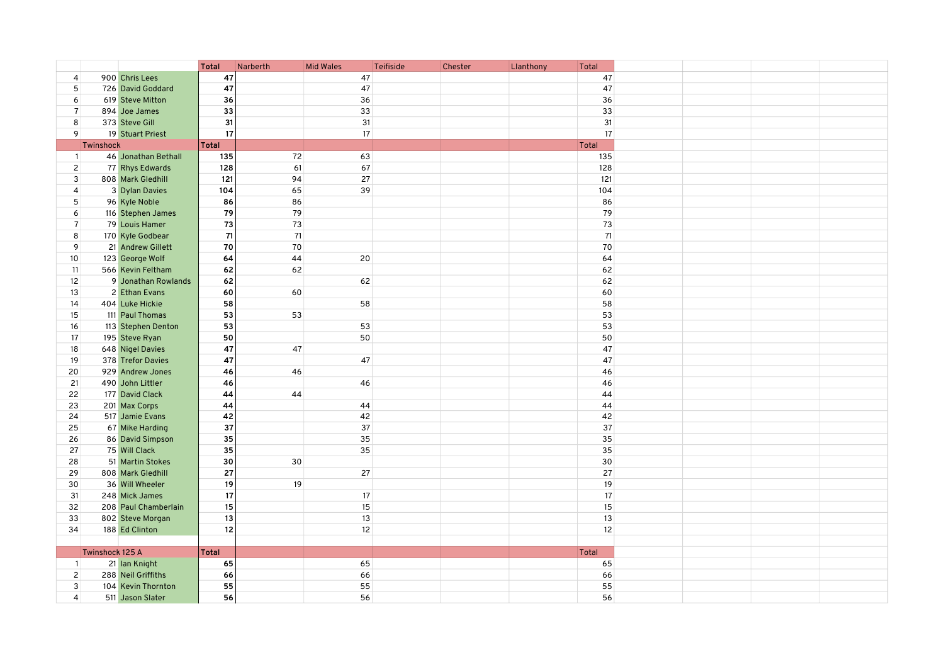|                |                 |                      | <b>Total</b> | Narberth | <b>Mid Wales</b>  | <b>Teifiside</b> | Chester | Llanthony | Total        |  |
|----------------|-----------------|----------------------|--------------|----------|-------------------|------------------|---------|-----------|--------------|--|
| $\overline{4}$ |                 | 900 Chris Lees       | 47           |          | 47                |                  |         |           | 47           |  |
| 5              |                 | 726 David Goddard    | 47           |          | 47                |                  |         |           | 47           |  |
| 6              |                 | 619 Steve Mitton     | 36           |          | 36                |                  |         |           | 36           |  |
| $\overline{7}$ |                 | 894 Joe James        | 33           |          | 33                |                  |         |           | 33           |  |
| 8              |                 | 373 Steve Gill       | 31           |          | 31                |                  |         |           | 31           |  |
| 9              |                 | 19 Stuart Priest     | 17           |          | 17                |                  |         |           | 17           |  |
|                | Twinshock       |                      | <b>Total</b> |          |                   |                  |         |           | Total        |  |
| $\vert$        |                 | 46 Jonathan Bethall  | 135          | 72       | 63                |                  |         |           | 135          |  |
| $\overline{2}$ |                 | 77 Rhys Edwards      | 128          | 61       | 67                |                  |         |           | 128          |  |
| 3              |                 | 808 Mark Gledhill    | 121          | 94       | 27                |                  |         |           | 121          |  |
| $\overline{4}$ |                 | 3 Dylan Davies       | 104          | 65       | 39                |                  |         |           | 104          |  |
| 5              |                 | 96 Kyle Noble        | 86           | 86       |                   |                  |         |           | 86           |  |
| 6              |                 | 116 Stephen James    | 79           | 79       |                   |                  |         |           | 79           |  |
| $\overline{7}$ |                 | 79 Louis Hamer       | 73           | 73       |                   |                  |         |           | 73           |  |
| 8              |                 | 170 Kyle Godbear     | 71           | 71       |                   |                  |         |           | 71           |  |
| 9              |                 | 21 Andrew Gillett    | $70\,$       | 70       |                   |                  |         |           | 70           |  |
| 10             |                 | 123 George Wolf      | 64           | 44       | 20                |                  |         |           | 64           |  |
| 11             |                 | 566 Kevin Feltham    | 62           | 62       |                   |                  |         |           | 62           |  |
| 12             |                 | 9 Jonathan Rowlands  | 62           |          | 62                |                  |         |           | 62           |  |
| 13             |                 | 2 Ethan Evans        | 60           | 60       |                   |                  |         |           | 60           |  |
| 14             |                 | 404 Luke Hickie      | 58           |          | 58                |                  |         |           | 58           |  |
| 15             |                 | 111 Paul Thomas      | 53           | 53       |                   |                  |         |           | 53           |  |
| 16             |                 | 113 Stephen Denton   | 53           |          | 53                |                  |         |           | 53           |  |
| 17             |                 | 195 Steve Ryan       | 50           |          | 50                |                  |         |           | 50           |  |
| 18             |                 | 648 Nigel Davies     | 47           | 47       |                   |                  |         |           | 47           |  |
| 19             |                 | 378 Trefor Davies    | 47           |          | 47                |                  |         |           | 47           |  |
| 20             |                 | 929 Andrew Jones     | 46           | 46       |                   |                  |         |           | 46           |  |
| 21             |                 | 490 John Littler     | 46           |          | 46                |                  |         |           | 46           |  |
| 22             |                 | 177 David Clack      | 44           | 44       |                   |                  |         |           | 44           |  |
| 23             |                 | 201 Max Corps        | 44           |          | 44                |                  |         |           | 44           |  |
| 24             |                 | 517 Jamie Evans      | 42           |          | 42                |                  |         |           | 42           |  |
| 25             |                 | 67 Mike Harding      | 37           |          | 37                |                  |         |           | 37           |  |
| 26             |                 | 86 David Simpson     | 35           |          | 35                |                  |         |           | 35           |  |
| 27             |                 | 75 Will Clack        | 35           |          | 35                |                  |         |           | 35           |  |
| 28             |                 | 51 Martin Stokes     | 30           | 30       |                   |                  |         |           | 30           |  |
| 29             |                 | 808 Mark Gledhill    | 27           |          | 27                |                  |         |           | 27           |  |
| 30             |                 | 36 Will Wheeler      | 19           | 19       |                   |                  |         |           | 19           |  |
| 31             |                 | 248 Mick James       | 17           |          | 17                |                  |         |           | 17           |  |
| 32             |                 | 208 Paul Chamberlain | 15           |          | 15                |                  |         |           | 15           |  |
| 33             |                 | 802 Steve Morgan     | 13           |          | 13                |                  |         |           | 13           |  |
| 34             |                 | 188 Ed Clinton       | 12           |          | $12 \overline{ }$ |                  |         |           | 12           |  |
|                |                 |                      |              |          |                   |                  |         |           |              |  |
|                | Twinshock 125 A |                      | <b>Total</b> |          |                   |                  |         |           | <b>Total</b> |  |
| $\overline{1}$ |                 | 21 Ian Knight        | 65           |          | 65                |                  |         |           | 65           |  |
| 2 <sup>1</sup> |                 | 288 Neil Griffiths   | 66           |          | 66                |                  |         |           | 66           |  |
| 3              |                 | 104 Kevin Thornton   | 55           |          | 55                |                  |         |           | 55           |  |
| $\overline{4}$ |                 | 511 Jason Slater     | 56           |          | 56                |                  |         |           | 56           |  |